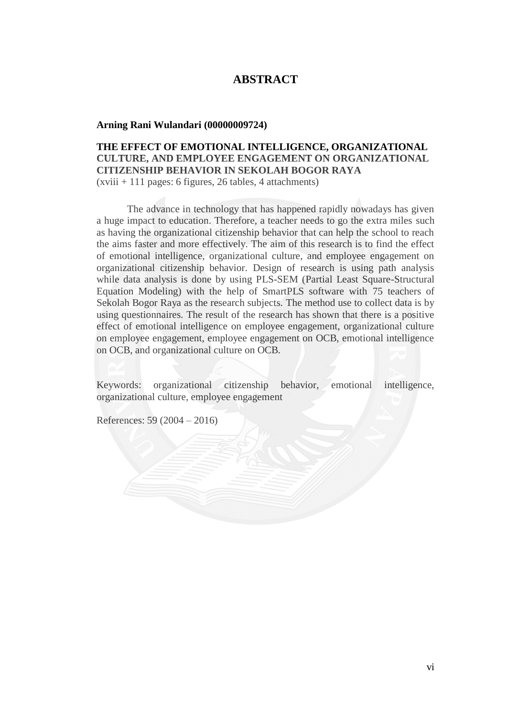# **ABSTRACT**

#### **Arning Rani Wulandari (00000009724)**

## **THE EFFECT OF EMOTIONAL INTELLIGENCE, ORGANIZATIONAL CULTURE, AND EMPLOYEE ENGAGEMENT ON ORGANIZATIONAL CITIZENSHIP BEHAVIOR IN SEKOLAH BOGOR RAYA**  $(xviii + 111)$  pages: 6 figures, 26 tables, 4 attachments)

The advance in technology that has happened rapidly nowadays has given a huge impact to education. Therefore, a teacher needs to go the extra miles such as having the organizational citizenship behavior that can help the school to reach the aims faster and more effectively. The aim of this research is to find the effect of emotional intelligence, organizational culture, and employee engagement on organizational citizenship behavior. Design of research is using path analysis while data analysis is done by using PLS-SEM (Partial Least Square-Structural Equation Modeling) with the help of SmartPLS software with 75 teachers of Sekolah Bogor Raya as the research subjects. The method use to collect data is by using questionnaires. The result of the research has shown that there is a positive effect of emotional intelligence on employee engagement, organizational culture on employee engagement, employee engagement on OCB, emotional intelligence on OCB, and organizational culture on OCB.

Keywords: organizational citizenship behavior, emotional intelligence, organizational culture, employee engagement

References: 59 (2004 – 2016)